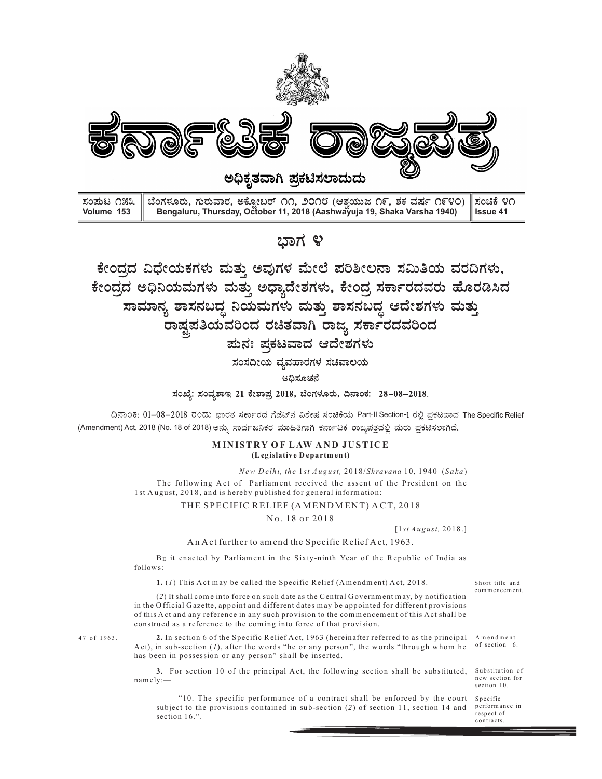

ರಿಕೆಗಳು ಮತ್ತು ಅವುಗಳ ಮೇಲೆ ಪರಿಶೀಲನಾ ಸಮಿತಿಯ ವರದಿಗಳು,<br>ಮಗಳು ಮತ್ತು ಅಧ್ಯಾದೇಶಗಳು, ಕೇಂದ್ರ ಸರ್ಕಾರದವರು ಹೊರಡಿಸಿದ<br>ನಾಸನಬದ್ಧ ನಿಯಮಗಳು ಮತ್ತು ಶಾಸನಬದ್ಧ ಆದೇಶಗಳು ಮತ್ತು<br>ಸ್ವತತಿಯವರಿಂದ ರಚಿತವಾಗಿ ರಾಜ್ಯ ಸರ್ಕಾರದವರಿಂದ<br>ಮನ: ಪ್ರಕಟವಾದ ಆದೇಶಗಳು<br>ಸಂಸದೀಯ ಪ್ರ ರ್ವುದೇಶಗಳು, ಕೇಂದ್ರ ಸಮಾತಿಯ ವರದಿಗಳು,<br>ಧ್ಯಾದೇಶಗಳು, ಕೇಂದ್ರ ಸರ್ಕಾರದವರು ಹೊರಡಿಸಿದ<br>೧ಗಳು ಮತ್ತು ಶಾಸನಬದ್ಧ ಆದೇಶಗಳು ಮತ್ತು<br>ರಚಿತವಾಗಿ ರಾಜ್ಯ ಸರ್ಕಾರದವರಿಂದ<br>ಕ್ರಟವಾದ ಆದೇಶಗಳು<br>ತ್ವವಹಾರಗಳ ಸಚಿವಾಲಯ<br>ತ್ರಿಮವಾದ ಆದೇಶಗಳು<br>ತ್ವವಹಾರಗಳ ಸಚಿವಾಲಯ<br>ತ್ರಿಮವಾರ ಅಧೀಶಗಳು  $\frac{1}{100}$ <br> $\frac{1}{100}$ <br> $\frac{1}{100}$ <br> $\frac{1}{100}$ <br> $\frac{1}{100}$ <br> $\frac{1}{100}$ <br> $\frac{1}{100}$ <br> $\frac{1}{100}$ <br> $\frac{1}{100}$ <br> $\frac{1}{100}$ <br> $\frac{1}{100}$ <br> $\frac{1}{100}$ <br> $\frac{1}{100}$ <br> $\frac{1}{100}$ <br> $\frac{1}{100}$ <br> $\frac{1}{100}$ <br> $\frac{1}{100}$ <br> $\frac{1}{100}$ <br> $\frac{$ ಮಿಗಳು ಮುತ್ತು ಅಧ್ಯಾದೀಶಗಳು, ಕೀರಿದ್ರ ಸಿರ್ಕಾರಿದವರು ಹೊರಿಡಿಸಿದ<br>ಸನಬದ್ಧ ನಿಯಮಗಳು ಮತ್ತು ಶಾಸನಬದ್ಧ ಆದೇಶಗಳು ಮತ್ತು<br>ಪ್ರತಿಯವರಿಂದ ರಚಿತವಾಗಿ ರಾಜ್ಯ ಸರ್ಕಾರದವರಿಂದ<br>\* ಸುಮ್ಮ ಪ್ರತಿಯವಾದ ಆದೇಶಗಳು<br>\* ಸಂಪೂರ್ಣ ಭಿಷಯ ಸುಮಾರು ಕಥೆಗೆ ಸುಮ್ಮ ಸರ್ಕಾರವಾಗಿ ಸುಮ್ಮ ಸ BE it enacted by Parliam ent in the Sixty-ninth Year of the R epublic of India as **Example 2018**<br> **Example 2018**<br> **Example 2018**<br> **Example 2018**<br> **Example 2018**<br> **Example 2018**<br> **Example 2018**<br> **Example 2018**<br> **Example 2018**<br> **Example 2018**<br> **Example 2018**<br> **Example 2018**<br> **Example 2018**<br> **Example 201** ವಾರ, ಅಕ್ಟೋಬರ್ ೧೧, ೨೦೧೮ (ಆಶ್ರಯುಜ ೧೯, ಶಕ ವರ್ಷ ೧೯೪೦) | ಸಂಚಿಕೆ ೪೧<br>ursday, October 11, 2018 (Aashwayuja 19, Shaka Varsha 1940) | Issue 41<br>
2<br>
2<br>
ಮತ್ತು ಅಧ್ಯಾದೇಶಗಳು, ಕೇಂದ್ರ ಸರ್ಕಾರದವರು ಹೊರಡಿಸಿದ<br>
5<br>
ಮತ್ತು ಅಧ್ಯಾದೇಶಗಳು, ಕೇಂದ್ರ ಸರ್ಕ scure Co, ೨೦೧೮ (ಆತ್ತಯುಜ ೧೯, ತಕ ವರ್ಷ ೧೯೪೦) ||ಸಂಚಿಕೆ ೪೧<br>"dober 11, 2018 (Asshwayuja 19, Shaka Varsha 1940) ||Issue 41<br>||ಬ್ರಾನ್ (ಆಧ್ಯಾದೇಶಗಳು, ಕೇಂದ್ರ ಸರ್ಕಾರದವರು ಹೊರಡಿಸಿದ<br>| ಅಧ್ಯಾದೇಶಗಳು, ಕೇಂದ್ರ ಸರ್ಕಾರದವರು ಹೊರಡಿಸಿದ<br>|ಮಗಳು ಮತ್ತು  $\begin{array}{l} \mathbf{2.2433} \end{array}$  (2) ಅವುಗಳ ಮೇಲೆ ಪರಿಶೀಲನಾ ಸಮಿತಿಯ ವರದಿಗಳು,<br>ಪ್ತಿ ಅವುಗಳ ಮೇಲೆ ಪರಿಶೀಲನಾ ಸಮಿತಿಯ ವರದಿಗಳು,<br>ಪ್ರು ಅಧ್ಯಾದೇಶಗಳು, ಕೇಂದ್ರ ಸರ್ಕಾರದವರು ಹೊರಡಿಸಿದ<br>ಯಮಗಳು ಮತ್ತು ಶಾಸನಬದ್ಧ ಆದೇಶಗಳು ಮತ್ತು<br>ರಿಂದ ರಚಿತವಾಗಿ ರಾಜ್ಯ ಸರ್ಕಾರದವರಿಂದ<br> T h e fo llo w in g A c t o f P arlia m en t re c eiv ed th e a sse n t o f th e P re sid en t o n th e  $\,$  street A update the Spirit A update of the Spirit Andrea in the Spirit Andre Control of the Spirit Andre Control of the Spirit Andre Control of the Spirit Andre Control of the Spirit Andre Control of the Spirit Andre

ದಿನಾಂಕ: 01-08-2018 ರಂದು ಭಾರತ ಸರ್ಕಾರದ ಗೆಜೆಟ್ನ ವಿಶೇಷ ಸಂಚಿಕೆಯ Part-II Section-1 ರಲ್ಲಿ ಪ್ರಕಟವಾದ The Specific Relief (Amendment) Act, 2018 (No. 18 of 2018) Specific Relief<br>Short title and<br>commencement.<br>A mendment<br>of section 6.

Control Control Control Control Control Control Control Control Control Control Control Control Control Control Control Control Control Control Control Control Control Control Control Control Control Control Control Cont (20) It shall come into force on such dates the Control Covernment may, by notification (4)  $\approx$  1. a steries on such that  $\approx$  1. a steries on the C entral G overnment (No. 18 of 2018) steries and the C entral G overnmen **Example 12**<br> **in the O fficial G axet the O fficial G axet term** of the Specifical G axet term of  $\approx$  18 and 18 and 18 and 18 and 18 and 18 and 18 and 18 and 18 and 18 and 18 and 18 and 18 and 18 and 18 and 18 and 18 an **Toology**<br> **Solution 1998 and any reference in any such any such any such any reference in a computer of the com means of the commutation to the commutation to the commutation to the commutation to the commutation to the constrained**<br> **constrained as a referred as a referred as a referred as a referred as a referred as**  $\frac{1}{2}$  **and**  $\frac{1}{2}$  **and**  $\frac{1}{2}$  **and**  $\frac{1}{2}$  **and**  $\frac{1}{2}$  **and**  $\frac{1}{2}$  **and**  $\frac{1}{2}$  **and**  $\frac{1}{2}$  **and \frac{1}{2}** 2. In section 6 of the Specific R elief A ct, 1963 (hereinafter referred to as the principal  $x$  (5),  $x$  3),  $x$  3),  $x$  3),  $x$  3),  $x$  3),  $x$  3),  $x$  3),  $x$  3),  $x$  3),  $x$  3),  $x$  3),  $x$  3),  $x$  3),  $x$  3),  $x$  3),  $x$  3),  $x$  3),  $x$  3),  $x$  3),  $x$  3),  $x$  3),  $x$  3),  $x$  3),  $x$  3),  $x$  3),  $x$  3),  $x$  3. For section 10 of the principal Antendo is a relation 10 of the principal A ct, the spectra section 10 of the principal A ct, the principal A ct ( $\alpha$ ) of the principal A ct of  $\alpha$  and is between the substituted  $\alpha$  2018 (No. 18 of 2018) esta,  $\pi$ 25 FE-D86 SIDLETIC FRANCO FINCTICE<br>
MINISTRY OP LANVAND JUSTICE<br>
MINISTRY OP LANVAND JUSTICE<br>
The following Act of Parliament received the asset of a control of the President on the<br>
The fo **MINISTRY OF LAW AND JUSTICE**<br> *New Delhi, the 1st Angust,* 2018/5*hravana* 10, 1940 (Saka)<br>
ellowing Act of Partiament received the assent of the President on the<br>
2018, and is hereby published for general information —<br> **com m ent. A m entries and m entries transfer of the numerical methods of the numerical methods of the numerical methods of the numerical methods of the numerical methods of the numerical methods of the numerical method** 

has been in possession or any person" shall be inserted.

subject to the provisions contained in sub-section (2) of section 11, section 14 and performance in section 16.".

Short title and<br>
A mendment<br>
of section 6.<br>
Substitution of<br>
Substitution of<br>
exection for<br>
section 10.<br>
Specific<br>
performance in<br>
prespect of<br>
contracts. respect of contracts.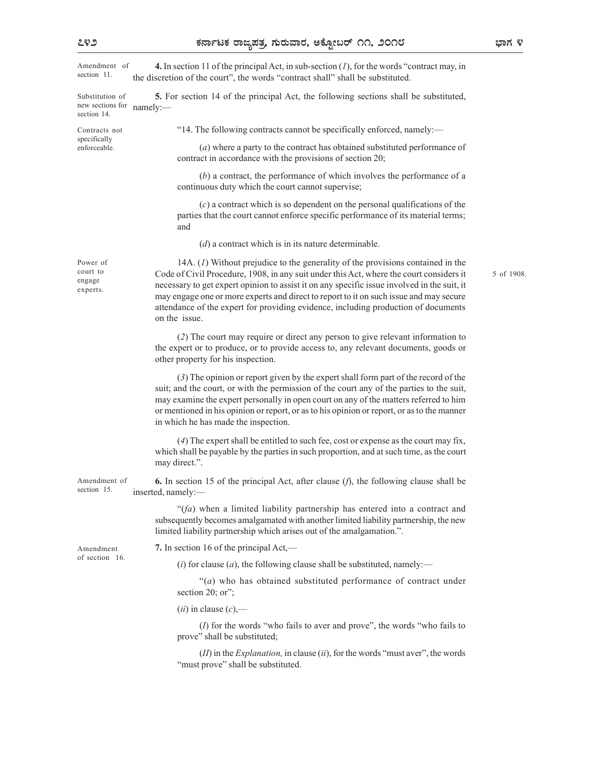ಭಾಗ ೪

5 of 1908.

| Amendment of<br>section 11.                        | 4. In section 11 of the principal Act, in sub-section $(I)$ , for the words "contract may, in<br>the discretion of the court", the words "contract shall" shall be substituted.                                                                                                                                                                                                                                                                                                    |
|----------------------------------------------------|------------------------------------------------------------------------------------------------------------------------------------------------------------------------------------------------------------------------------------------------------------------------------------------------------------------------------------------------------------------------------------------------------------------------------------------------------------------------------------|
| Substitution of<br>new sections for<br>section 14. | 5. For section 14 of the principal Act, the following sections shall be substituted,<br>namely:-                                                                                                                                                                                                                                                                                                                                                                                   |
| Contracts not                                      | "14. The following contracts cannot be specifically enforced, namely:—                                                                                                                                                                                                                                                                                                                                                                                                             |
| specifically<br>enforceable.                       | (a) where a party to the contract has obtained substituted performance of<br>contract in accordance with the provisions of section 20;                                                                                                                                                                                                                                                                                                                                             |
|                                                    | $(b)$ a contract, the performance of which involves the performance of a<br>continuous duty which the court cannot supervise;                                                                                                                                                                                                                                                                                                                                                      |
|                                                    | $(c)$ a contract which is so dependent on the personal qualifications of the<br>parties that the court cannot enforce specific performance of its material terms;<br>and                                                                                                                                                                                                                                                                                                           |
|                                                    | $(d)$ a contract which is in its nature determinable.                                                                                                                                                                                                                                                                                                                                                                                                                              |
| Power of<br>court to<br>engage<br>experts.         | 14A. (1) Without prejudice to the generality of the provisions contained in the<br>Code of Civil Procedure, 1908, in any suit under this Act, where the court considers it<br>necessary to get expert opinion to assist it on any specific issue involved in the suit, it<br>may engage one or more experts and direct to report to it on such issue and may secure<br>attendance of the expert for providing evidence, including production of documents<br>on the <i>issue</i> . |
|                                                    | (2) The court may require or direct any person to give relevant information to<br>the expert or to produce, or to provide access to, any relevant documents, goods or<br>other property for his inspection.                                                                                                                                                                                                                                                                        |
|                                                    | (3) The opinion or report given by the expert shall form part of the record of the<br>suit; and the court, or with the permission of the court any of the parties to the suit,<br>may examine the expert personally in open court on any of the matters referred to him<br>or mentioned in his opinion or report, or as to his opinion or report, or as to the manner<br>in which he has made the inspection.                                                                      |
|                                                    | (4) The expert shall be entitled to such fee, cost or expense as the court may fix,<br>which shall be payable by the parties in such proportion, and at such time, as the court<br>may direct.".                                                                                                                                                                                                                                                                                   |
| Amendment of<br>section 15.                        | <b>6.</b> In section 15 of the principal Act, after clause $(f)$ , the following clause shall be<br>inserted, namely:-                                                                                                                                                                                                                                                                                                                                                             |
|                                                    | " $(fa)$ when a limited liability partnership has entered into a contract and<br>subsequently becomes amalgamated with another limited liability partnership, the new<br>limited liability partnership which arises out of the amalgamation.".                                                                                                                                                                                                                                     |
| Amendment                                          | 7. In section 16 of the principal Act,—                                                                                                                                                                                                                                                                                                                                                                                                                                            |
| of section 16.                                     | ( <i>i</i> ) for clause ( <i>a</i> ), the following clause shall be substituted, namely:—                                                                                                                                                                                                                                                                                                                                                                                          |
|                                                    | "(a) who has obtained substituted performance of contract under<br>section 20; or";                                                                                                                                                                                                                                                                                                                                                                                                |
|                                                    | $(ii)$ in clause $(c)$ ,—                                                                                                                                                                                                                                                                                                                                                                                                                                                          |
|                                                    | $(I)$ for the words "who fails to aver and prove", the words "who fails to<br>prove" shall be substituted;                                                                                                                                                                                                                                                                                                                                                                         |
|                                                    | $(II)$ in the <i>Explanation</i> , in clause $(ii)$ , for the words "must aver", the words<br>"must prove" shall be substituted.                                                                                                                                                                                                                                                                                                                                                   |
|                                                    |                                                                                                                                                                                                                                                                                                                                                                                                                                                                                    |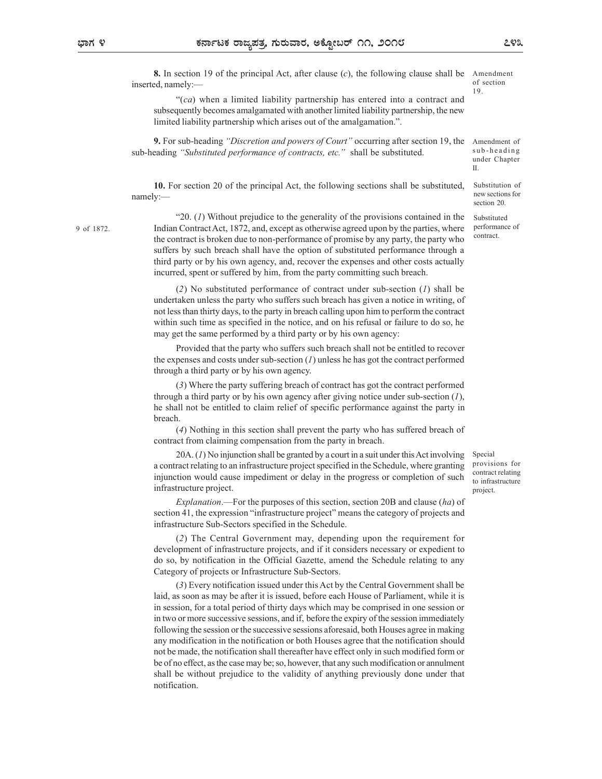Amendment of

under Chapter

Substitution of new sections for section 20.

Substituted performance of contract.

II.

**8.** In section 19 of the principal Act, after clause (c), the following clause shall be Amendment inserted, namely:—  $^{0}$ of section 19. 292<br>
Amendment<br>
of section<br>
19.<br>
Amendment of<br>
sub-he a d in g<br>
under Chapter<br>
II.<br>
Substitution of<br>
new sections for<br>
section 20.

"(ca) when a limited liability partnership has entered into a contract and subsequently becomes amalgamated with another limited liability partnership, the new limited liability partnership which arises out of the amalgamation.".

9. For sub-heading "Discretion and powers of Court" occurring after section 19, the sub-heading "Substituted performance of contracts, etc." shall be substituted. sub-heading

10. For section 20 of the principal Act, the following sections shall be substituted, namely:— and the contract of the contract of the contract of the contract of the contract of the contract of the contract of the contract of the contract of the contract of the contract of the contract of the contract of t

"20.  $(I)$  Without prejudice to the generality of the provisions contained in the Indian Contract Act, 1872, and, except as otherwise agreed upon by the parties, where 9 of 1872. the contract is broken due to non-performance of promise by any party, the party who suffers by such breach shall have the option of substituted performance through a third party or by his own agency, and, recover the expenses and other costs actually incurred, spent or suffered by him, from the party committing such breach.

> (2) No substituted performance of contract under sub-section (1) shall be undertaken unless the party who suffers such breach has given a notice in writing, of not less than thirty days, to the party in breach calling upon him to perform the contract within such time as specified in the notice, and on his refusal or failure to do so, he may get the same performed by a third party or by his own agency:

> Provided that the party who suffers such breach shall not be entitled to recover the expenses and costs under sub-section  $(I)$  unless he has got the contract performed through a third party or by his own agency.

> (3) Where the party suffering breach of contract has got the contract performed through a third party or by his own agency after giving notice under sub-section  $(1)$ , he shall not be entitled to claim relief of specific performance against the party in breach.

> (4) Nothing in this section shall prevent the party who has suffered breach of contract from claiming compensation from the party in breach.

> 20A. (1) No injunction shall be granted by a court in a suit under this Act involving a contract relating to an infrastructure project specified in the Schedule, where granting injunction would cause impediment or delay in the progress or completion of such infrastructure project.

> Explanation.—For the purposes of this section, section 20B and clause (ha) of section 41, the expression "infrastructure project" means the category of projects and infrastructure Sub-Sectors specified in the Schedule.

> (2) The Central Government may, depending upon the requirement for development of infrastructure projects, and if it considers necessary or expedient to do so, by notification in the Official Gazette, amend the Schedule relating to any Category of projects or Infrastructure Sub-Sectors.

> (3) Every notification issued under this Act by the Central Government shall be laid, as soon as may be after it is issued, before each House of Parliament, while it is in session, for a total period of thirty days which may be comprised in one session or in two or more successive sessions, and if, before the expiry of the session immediately following the session or the successive sessions aforesaid, both Houses agree in making any modification in the notification or both Houses agree that the notification should not be made, the notification shall thereafter have effect only in such modified form or be of no effect, as the case may be; so, however, that any such modification or annulment shall be without prejudice to the validity of anything previously done under that notification.

Special provisions for contract relating to infrastructure project.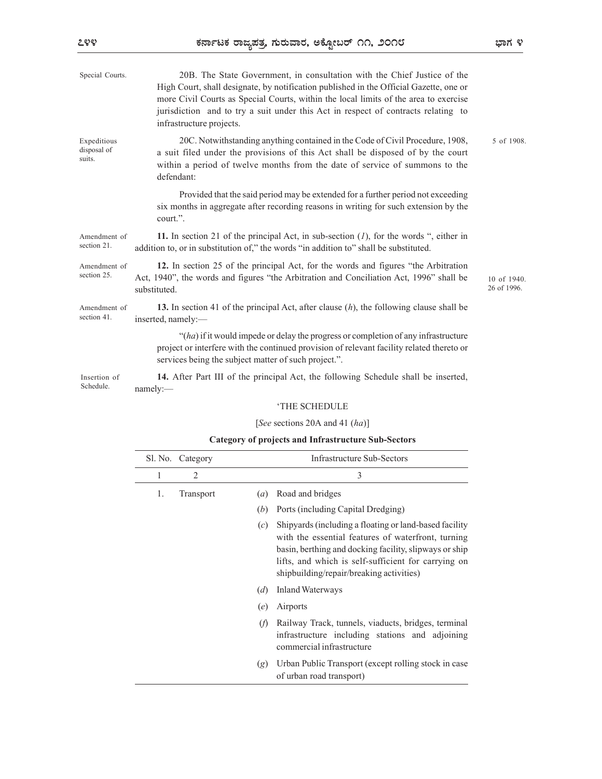| Special Courts.                      |                    | infrastructure projects.                                                                                                                                                       |                            | 20B. The State Government, in consultation with the Chief Justice of the<br>High Court, shall designate, by notification published in the Official Gazette, one or<br>more Civil Courts as Special Courts, within the local limits of the area to exercise<br>jurisdiction and to try a suit under this Act in respect of contracts relating to |            |  |
|--------------------------------------|--------------------|--------------------------------------------------------------------------------------------------------------------------------------------------------------------------------|----------------------------|-------------------------------------------------------------------------------------------------------------------------------------------------------------------------------------------------------------------------------------------------------------------------------------------------------------------------------------------------|------------|--|
| Expeditious<br>disposal of<br>suits. |                    | defendant:                                                                                                                                                                     |                            | 20C. Notwithstanding anything contained in the Code of Civil Procedure, 1908,<br>a suit filed under the provisions of this Act shall be disposed of by the court<br>within a period of twelve months from the date of service of summons to the                                                                                                 | 5 of 1908. |  |
|                                      | court.".           |                                                                                                                                                                                |                            | Provided that the said period may be extended for a further period not exceeding<br>six months in aggregate after recording reasons in writing for such extension by the                                                                                                                                                                        |            |  |
| Amendment of<br>section 21.          |                    |                                                                                                                                                                                |                            | 11. In section 21 of the principal Act, in sub-section $(I)$ , for the words ", either in<br>addition to, or in substitution of," the words "in addition to" shall be substituted.                                                                                                                                                              |            |  |
| Amendment of<br>section 25.          | substituted.       | 12. In section 25 of the principal Act, for the words and figures "the Arbitration"<br>Act, 1940", the words and figures "the Arbitration and Conciliation Act, 1996" shall be | 10 of 1940.<br>26 of 1996. |                                                                                                                                                                                                                                                                                                                                                 |            |  |
| Amendment of<br>section 41.          | inserted, namely:- |                                                                                                                                                                                |                            | 13. In section 41 of the principal Act, after clause $(h)$ , the following clause shall be                                                                                                                                                                                                                                                      |            |  |
|                                      |                    |                                                                                                                                                                                |                            | "(ha) if it would impede or delay the progress or completion of any infrastructure<br>project or interfere with the continued provision of relevant facility related thereto or<br>services being the subject matter of such project.".                                                                                                         |            |  |
| Insertion of<br>Schedule.            | namely:            |                                                                                                                                                                                |                            | 14. After Part III of the principal Act, the following Schedule shall be inserted,                                                                                                                                                                                                                                                              |            |  |
|                                      |                    |                                                                                                                                                                                |                            | 'THE SCHEDULE                                                                                                                                                                                                                                                                                                                                   |            |  |
|                                      |                    |                                                                                                                                                                                |                            | [See sections 20A and 41 $(ha)$ ]                                                                                                                                                                                                                                                                                                               |            |  |
|                                      |                    |                                                                                                                                                                                |                            | <b>Category of projects and Infrastructure Sub-Sectors</b>                                                                                                                                                                                                                                                                                      |            |  |
|                                      |                    | Sl. No. Category                                                                                                                                                               |                            | <b>Infrastructure Sub-Sectors</b>                                                                                                                                                                                                                                                                                                               |            |  |
|                                      | 1                  | 2                                                                                                                                                                              |                            | 3                                                                                                                                                                                                                                                                                                                                               |            |  |
|                                      | 1.                 | Transport                                                                                                                                                                      | (a)                        | Road and bridges                                                                                                                                                                                                                                                                                                                                |            |  |
|                                      |                    |                                                                                                                                                                                |                            | (b) Ports (including Capital Dredging)                                                                                                                                                                                                                                                                                                          |            |  |
|                                      |                    |                                                                                                                                                                                | (c)                        | Shipyards (including a floating or land-based facility<br>with the essential features of waterfront, turning<br>basin, berthing and docking facility, slipways or ship<br>lifts, and which is self-sufficient for carrying on<br>shipbuilding/repair/breaking activities)                                                                       |            |  |
|                                      |                    |                                                                                                                                                                                |                            | $(d)$ Inland Waterways                                                                                                                                                                                                                                                                                                                          |            |  |

## Category of projects and Infrastructure Sub-Sectors

| namely:      |                  |     | 14. After Part III of the principal Act, the following Schedule shall be inserted,                                                                                                                                                                                        |
|--------------|------------------|-----|---------------------------------------------------------------------------------------------------------------------------------------------------------------------------------------------------------------------------------------------------------------------------|
|              |                  |     | 'THE SCHEDULE                                                                                                                                                                                                                                                             |
|              |                  |     | [See sections 20A and 41 $(ha)$ ]                                                                                                                                                                                                                                         |
|              |                  |     | <b>Category of projects and Infrastructure Sub-Sectors</b>                                                                                                                                                                                                                |
|              | Sl. No. Category |     | <b>Infrastructure Sub-Sectors</b>                                                                                                                                                                                                                                         |
| $\mathbf{1}$ | 2                |     | 3                                                                                                                                                                                                                                                                         |
| 1.           | Transport        | (a) | Road and bridges                                                                                                                                                                                                                                                          |
|              |                  | (b) | Ports (including Capital Dredging)                                                                                                                                                                                                                                        |
|              |                  | (c) | Shipyards (including a floating or land-based facility<br>with the essential features of waterfront, turning<br>basin, berthing and docking facility, slipways or ship<br>lifts, and which is self-sufficient for carrying on<br>shipbuilding/repair/breaking activities) |
|              |                  | (d) | <b>Inland Waterways</b>                                                                                                                                                                                                                                                   |
|              |                  | (e) | Airports                                                                                                                                                                                                                                                                  |
|              |                  | (f) | Railway Track, tunnels, viaducts, bridges, terminal<br>infrastructure including stations and adjoining<br>commercial infrastructure                                                                                                                                       |
|              |                  | (g) | Urban Public Transport (except rolling stock in case<br>of urban road transport)                                                                                                                                                                                          |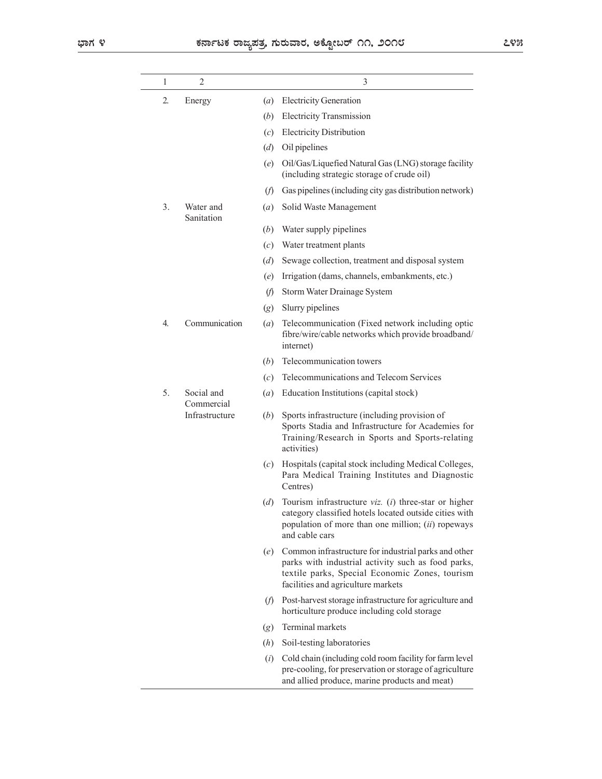|                               |                      | ಕರ್ನಾಟಕ ರಾಜ್ಯಪತ್ರ, ಗುರುವಾರ, ಅಕ್ಟೋಬರ್ ೧೧, ೨೦೧೮                                                                                                                                                          | ೭೪೫ |
|-------------------------------|----------------------|--------------------------------------------------------------------------------------------------------------------------------------------------------------------------------------------------------|-----|
| 2<br>1                        |                      | 3                                                                                                                                                                                                      |     |
|                               |                      |                                                                                                                                                                                                        |     |
| 2.<br>Energy                  | (a)                  | <b>Electricity Generation</b>                                                                                                                                                                          |     |
|                               | (b)                  | <b>Electricity Transmission</b>                                                                                                                                                                        |     |
|                               | (c)                  | <b>Electricity Distribution</b>                                                                                                                                                                        |     |
|                               | (d)<br>(e)           | Oil pipelines<br>Oil/Gas/Liquefied Natural Gas (LNG) storage facility<br>(including strategic storage of crude oil)                                                                                    |     |
|                               | (f)                  | Gas pipelines (including city gas distribution network)                                                                                                                                                |     |
| 3.<br>Water and<br>Sanitation | (a)                  | Solid Waste Management                                                                                                                                                                                 |     |
|                               | (b)                  | Water supply pipelines                                                                                                                                                                                 |     |
|                               | (c)                  | Water treatment plants                                                                                                                                                                                 |     |
|                               | (d)                  | Sewage collection, treatment and disposal system                                                                                                                                                       |     |
|                               | (e)                  | Irrigation (dams, channels, embankments, etc.)                                                                                                                                                         |     |
|                               | $\mathcal{F}$        | Storm Water Drainage System                                                                                                                                                                            |     |
|                               | (g)                  | Slurry pipelines                                                                                                                                                                                       |     |
| 4.                            | Communication<br>(a) | Telecommunication (Fixed network including optic<br>fibre/wire/cable networks which provide broadband/<br>internet)                                                                                    |     |
|                               | (b)                  | Telecommunication towers                                                                                                                                                                               |     |
|                               | (c)                  | Telecommunications and Telecom Services                                                                                                                                                                |     |
| Social and<br>5.              | $\left( a\right)$    | Education Institutions (capital stock)                                                                                                                                                                 |     |
| Commercial<br>Infrastructure  | (b)                  | Sports infrastructure (including provision of<br>Sports Stadia and Infrastructure for Academies for<br>Training/Research in Sports and Sports-relating<br>activities)                                  |     |
|                               | (c)                  | Hospitals (capital stock including Medical Colleges,<br>Para Medical Training Institutes and Diagnostic<br>Centres)                                                                                    |     |
|                               | (d)                  | Tourism infrastructure viz. (i) three-star or higher<br>category classified hotels located outside cities with<br>population of more than one million; (ii) ropeways<br>and cable cars                 |     |
|                               |                      | (e) Common infrastructure for industrial parks and other<br>parks with industrial activity such as food parks,<br>textile parks, Special Economic Zones, tourism<br>facilities and agriculture markets |     |
|                               | (f)                  | Post-harvest storage infrastructure for agriculture and<br>horticulture produce including cold storage                                                                                                 |     |
|                               | (g)                  | Terminal markets                                                                                                                                                                                       |     |
|                               | (h)                  | Soil-testing laboratories                                                                                                                                                                              |     |
|                               | (i)                  | Cold chain (including cold room facility for farm level<br>pre-cooling, for preservation or storage of agriculture<br>and allied produce, marine products and meat)                                    |     |